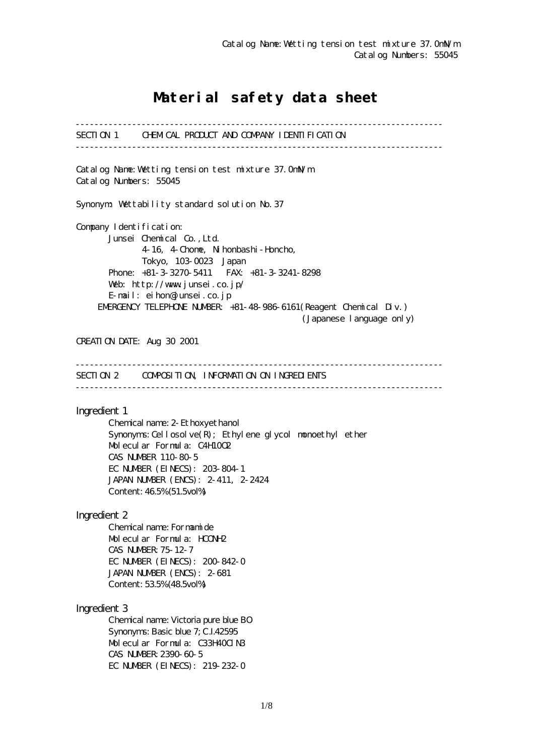# Material safety data sheet

------------------------------------------------------------------------------ SECTION 1 CHEMICAL PRODUCT AND COMPANY IDENTIFICATION ------------------------------------------------------------------------------ Catalog Name:Wetting tension test mixture 37.0mN/m Catalog Numbers: 55045 Synonym: Wettability standard solution No.37 Company I dentification: Junsei Chemical Co.,Ltd. 4-16, 4-Chome, Nihonbashi-Honcho, Tokyo, 103-0023 Japan Phone: +81-3-3270-5411 FAX: +81-3-3241-8298 Web: http://www.junsei.co.jp/ E-mail: eihon@junsei.co.jp EMERGENCY TELEPHONE NUMBER: +81-48-986-6161(Reagent Chemical Div.) (Japanese language only) CREATION DATE: Aug 30 2001 ------------------------------------------------------------------------------ SECTION 2 COMPOSITION, INFORMATION ON INGREDIENTS ------------------------------------------------------------------------------ Ingredient 1 Chemical name: 2-Ethoxyethanol Synonyms: Cellosolve $(R)$ ; Ethylene glycol monoethyl ether Molecular Formula: C4H10O2 CAS NUMBER 110-80-5 EC NUMBER (EINECS): 203-804-1 JAPAN NUMBER (ENCS): 2-411, 2-2424 Content: 46.5% (51.5vol%) Ingredient 2 Chemical name: Formamide Molecular Formula: HCONH2 CAS NUMBER:75-12-7 EC NUMBER (EINECS): 200-842-0 JAPAN NUMBER (ENCS): 2-681 Content: 53.5% (48.5vol%) Ingredient 3 Chemical name: Victoria pure blue BO Synonyms: Basic blue 7; C.I.42595 Molecular Formula: C33H40ClN3 CAS NUMBER:2390-60-5 EC NUMBER (EINECS): 219-232-0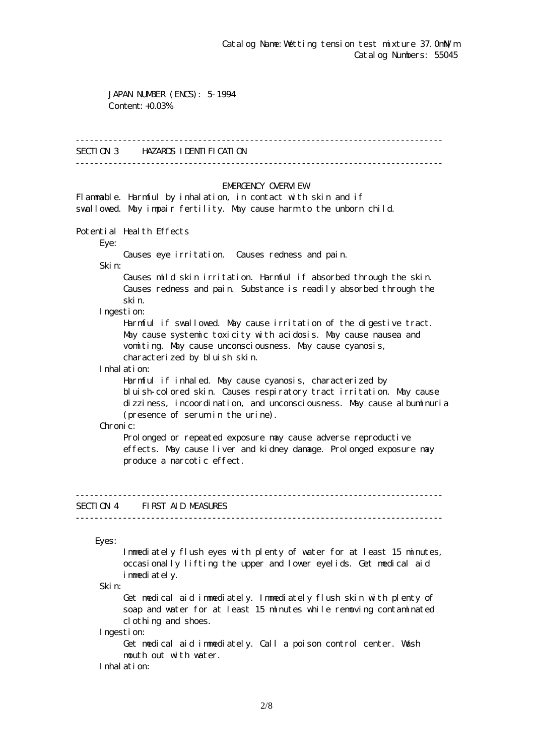JAPAN NUMBER (ENCS): 5-1994 Content: +0.03%

### ------------------------------------------------------------------------------

## SECTION 3 HAZARDS IDENTIFICATION

------------------------------------------------------------------------------

### EMERGENCY CAERM EW

Flammable. Harmful by inhalation, in contact with skin and if swallowed. May impair fertility. May cause harm to the unborn child.

Potential Health Effects

Eye:

Causes eye irritation. Causes redness and pain.

Skin:

 Causes mild skin irritation. Harmful if absorbed through the skin. Causes redness and pain. Substance is readily absorbed through the skin.

Ingestion:

 Harmful if swallowed. May cause irritation of the digestive tract. May cause systemic toxicity with acidosis. May cause nausea and vomiting. May cause unconsciousness. May cause cyanosis, characterized by bluish skin.

Inhalation:

 Harmful if inhaled. May cause cyanosis, characterized by bluish-colored skin. Causes respiratory tract irritation. May cause dizziness, incoordination, and unconsciousness. May cause albuminuria (presence of serum in the urine).

Chronic:

Prolonged or repeated exposure may cause adverse reproductive effects. May cause liver and kidney damage. Prolonged exposure may produce a narcotic effect.

## SECTION 4 FIRST AID MEASURES

------------------------------------------------------------------------------

------------------------------------------------------------------------------

Eyes:

 Immediately flush eyes with plenty of water for at least 15 minutes, occasionally lifting the upper and lower eyelids. Get medical aid immediately.

Skin:

 Get medical aid immediately. Immediately flush skin with plenty of soap and water for at least 15 minutes while removing contaminated clothing and shoes.

Ingestion:

 Get medical aid immediately. Call a poison control center. Wash mouth out with water.

Inhalation: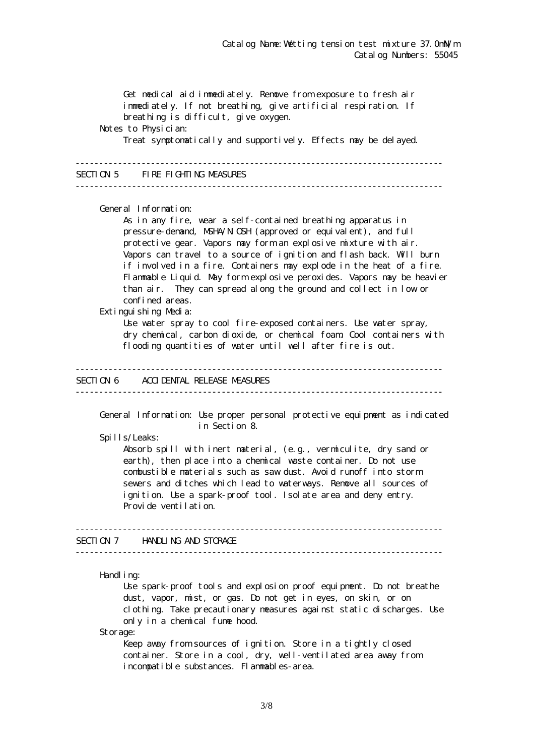Get medical aid immediately. Remove from exposure to fresh air immediately. If not breathing, give artificial respiration. If breathing is difficult, give oxygen. Notes to Physician: Treat symptomatically and supportively. Effects may be delayed. ------------------------------------------------------------------------------ SECTION 5 FIRE FIGHTING MEASURES ------------------------------------------------------------------------------ General Information: As in any fire, wear a self-contained breathing apparatus in pressure-demand, NSHA/NICSH (approved or equivalent), and full protective gear. Vapors may form an explosive mixture with air. Vapors can travel to a source of ignition and flash back. Will burn if involved in a fire. Containers may explode in the heat of a fire. Flammable Liquid. May form explosive peroxides. Vapors may be heavier than air. They can spread along the ground and collect in low or confined areas. Extinguishing Media: Use water spray to cool fire-exposed containers. Use water spray, dry chemical, carbon dioxide, or chemical foam. Cool containers with flooding quantities of water until well after fire is out. ------------------------------------------------------------------------------ SECTION 6 ACCIDENTAL RELEASE MEASURES ------------------------------------------------------------------------------ General Information: Use proper personal protective equipment as indicated in Section 8. Spills/Leaks: Absorb spill with inert material, (e.g., vermiculite, dry sand or earth), then place into a chemical waste container. Do not use combustible materials such as saw dust. Avoid runoff into storm sewers and ditches which lead to waterways. Remove all sources of ignition. Use a spark-proof tool. Isolate area and deny entry. Provide ventilation. ------------------------------------------------------------------------------ SECTION 7 HANDLING AND STORAGE ------------------------------------------------------------------------------ Handling: Use spark-proof tools and explosion proof equipment. Do not breathe dust, vapor, mist, or gas. Do not get in eyes, on skin, or on clothing. Take precautionary measures against static discharges. Use only in a chemical fume hood.

Storage:

Keep away from sources of ignition. Store in a tightly closed container. Store in a cool, dry, well-ventilated area away from incompatible substances. Flammables-area.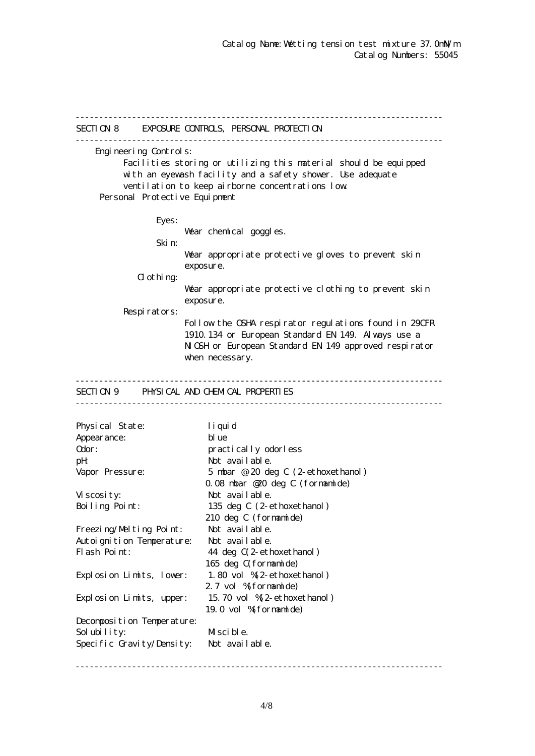------------------------------------------------------------------------------ SECTION 8 EXPOSURE CONTROLS, PERSONAL PROTECTION ------------------------------------------------------------------------------ Engineering Controls: Facilities storing or utilizing this material should be equipped with an eyewash facility and a safety shower. Use adequate ventilation to keep airborne concentrations low. Personal Protective Equipment Eyes: War chemical goggles. Skin: Wear appropriate protective gloves to prevent skin exposure.  $d$  othing: Wear appropriate protective clothing to prevent skin exposure. Respirators: Follow the OSHA respirator regulations found in 29CFR 1910.134 or European Standard EN 149. Always use a NGH or European Standard EN 149 approved respirator when necessary. ------------------------------------------------------------------------------ SECTION 9 PHYSICAL AND CHEMICAL PROPERTIES ------------------------------------------------------------------------------ Physical State: liquid Appearance: blue Odor: practically odorless pH: Not available. Vapor Pressure: 5 mbar @ 20 deg C (2-ethoxethanol) 0.08 mbar @20 deg C (formamide) Viscosity: Not available. Boiling Point: 135 deg C (2-ethoxethanol) 210 deg C (formamide) Freezing/Melting Point: Not available. Autoignition Temperature: Not available. Flash Point: 44 deg  $C(2$ -ethoxethanol) 165 deg C(formamide) Explosion Limits, lower: 1.80 vol %(2-ethoxethanol) 2.7 vol % formamide) Explosion Limits, upper: 15.70 vol %(2-ethoxethanol) 19.0 vol %(formamide) Decomposition Temperature: Solubility: Miscible. Specific Gravity/Density: Not available.

------------------------------------------------------------------------------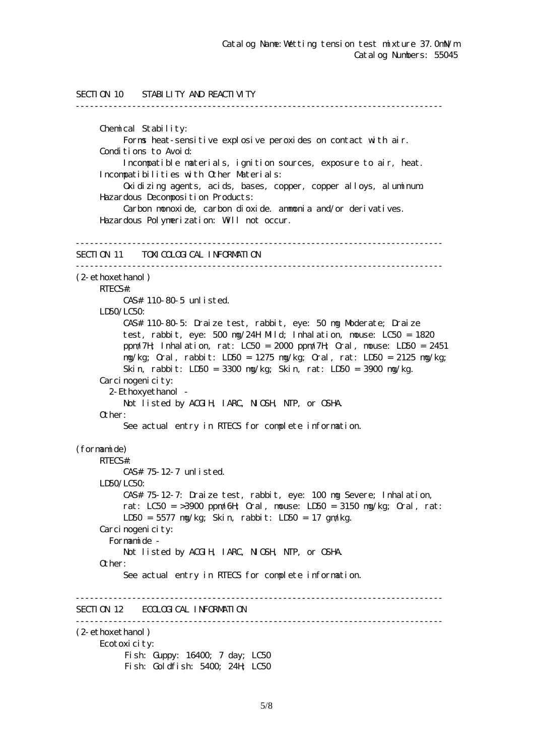```
SECTION 10 STABILITY AND REACTIVITY
------------------------------------------------------------------------------
      Chemical Stability:
           Forms heat-sensitive explosive peroxides on contact with air.
      Conditions to Avoid:
           Incompatible materials, ignition sources, exposure to air, heat.
      Incompatibilities with Other Materials:
           Oxidizing agents, acids, bases, copper, copper alloys, aluminum.
      Hazardous Decomposition Products:
           Carbon monoxide, carbon dioxide. ammonia and/or derivatives.
      Hazardous Polymerization: Will not occur.
------------------------------------------------------------------------------
SECTION 11 TOM COLOGICAL INFORMATION
------------------------------------------------------------------------------
(2-ethoxethanol)
     RTECS#:
           CAS# 110-80-5 unlisted.
    LDSO/LCSO CAS# 110-80-5: Draize test, rabbit, eye: 50 mg Moderate; Draize
           test, rabbit, eye: 500 mg/24H Mild; Inhalation, mouse: LC50 = 1820
           ppm/7H; Inhalation, rat: LC50 = 2000 ppm/7H; Oral, mouse: LD50 = 2451
           mg/kg; Oral, rabbit: LD50 = 1275 mg/kg; Oral, rat: LD50 = 2125 mg/kg;
           Skin, rabbit: LD50 = 3300 mg/kg; Skin, rat: LD50 = 3900 mg/kg.
     Carcinogenicity:
        2-Ethoxyethanol -
          Not listed by ACGIH, IARC, NICSH, NIP, or CSHA.
      Other:
           See actual entry in RTECS for complete information.
(formamide)
     RTECS#:
           CAS# 75-12-7 unlisted.
      LD50/LC50:
           CAS# 75-12-7: Draize test, rabbit, eye: 100 mg Severe; Inhalation,
          rat: LC50 = >3900 ppm/6H Qrd, nouse: LD50 = 3150 mg/kg; Qrd, rat:
           LD50 = 5577 mg/kg; Skin, rabbit: LD50 = 17 gm/kg.
     Carcinogenicity:
        Formamide -
          Not listed by ACGIH, IARC, NICSH, NIP, or CSHA.
      Other:
           See actual entry in RTECS for complete information.
------------------------------------------------------------------------------
SECTION 12 ECOLOGICAL INFORMATION
------------------------------------------------------------------------------
(2-ethoxethanol)
      Ecotoxicity:
          Fish: Guppy: 16400; 7 day; LC50
          Fish: Goldfish: 5400; 24H; LC50
```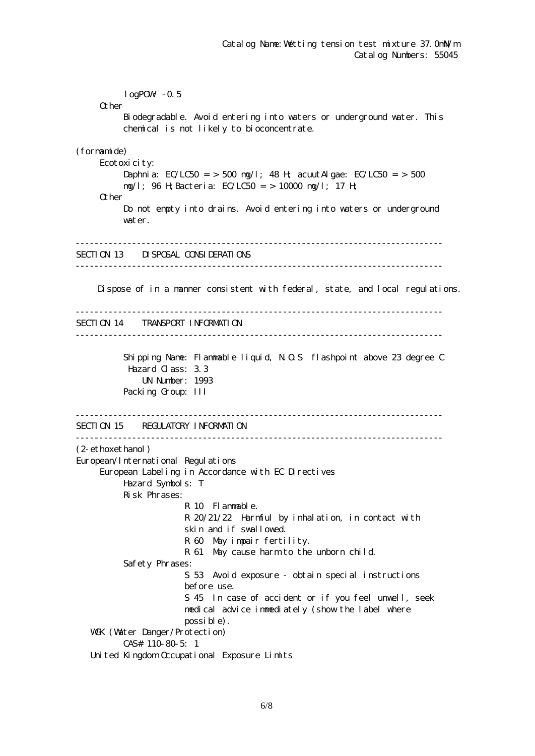$logPOW - 0.5$ **O**ther Biodegradable. Avoid entering into waters or underground water. This chemical is not likely to bioconcentrate. (formamide) Ecotoxicity: Daphnia: EC/LC50 = > 500 mg/l; 48 H; acuut Algae: EC/LC50 = > 500 mg/l; 96 H;Bacteria: EC/LC50 = > 10000 mg/l; 17 H; Other Do not empty into drains. Avoid entering into waters or underground water. ------------------------------------------------------------------------------ SECTION 13 DISPOSAL CONSIDERATIONS ------------------------------------------------------------------------------ Dispose of in a manner consistent with federal, state, and local regulations. ------------------------------------------------------------------------------ SECTION 14 TRANSPORT INFORMATION ------------------------------------------------------------------------------ Shipping Name: Flammable liquid, N.O.S flashpoint above 23 degree C Hazard Class: 3.3 UN Number: 1993 Packing Group: III ------------------------------------------------------------------------------ SECTION 15 REGULATORY INFORMATION ------------------------------------------------------------------------------ (2-ethoxethanol) European/International Regulations European Labeling in Accordance with EC Directives Hazard Symbols: T Risk Phrases: R 10 Flammable. R 20/21/22 Harmful by inhalation, in contact with skin and if swallowed. R 60 May impair fertility. R 61 May cause harm to the unborn child. Safety Phrases: S 53 Avoid exposure - obtain special instructions before use. S 45 In case of accident or if you feel unwell, seek medical advice immediately (show the label where possible). WGK (Water Danger/Protection) CAS# 110-80-5: 1 United Kingdom Occupational Exposure Limits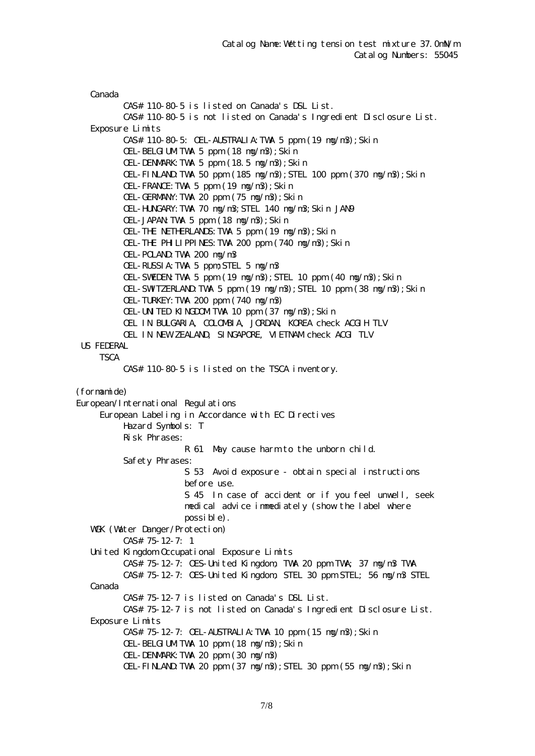Canada CAS# 110-80-5 is listed on Canada's DSL List. CAS# 110-80-5 is not listed on Canada's Ingredient Disclosure List. Exposure Limits CAS# 110-80-5: OEL-AUSTRALIA:TWA 5 ppm (19 mg/m3);Skin OEL-BELGIUMTWA 5 ppm (18 ng/n3); Skin OEL-DENMARK:TWA 5 ppm (18.5 mg/m3);Skin OEL-FINLAND:TWA 50 ppm (185 mg/m3);STEL 100 ppm (370 mg/m3);Skin OEL-FRANCE:TWA 5 ppm (19 mg/m3);Skin OEL-GERMANY:TWA 20 ppm (75 mg/m3);Skin OEL-HUNGARY:TWA 70 mg/m3;STEL 140 mg/m3;Skin JAN9 OEL-JAPAN:TWA 5 ppm (18 mg/m3);Skin OEL-THE NETHERLANDS:TWA 5 ppm (19 mg/m3);Skin OEL-THE PHILIPPINES:TWA 200 ppm (740 mg/m3);Skin OEL-POLAND:TWA 200 mg/m3 OEL-RUSSIA:TWA 5 ppm;STEL 5 mg/m3 OEL-SWEDEN:TWA 5 ppm (19 mg/m3);STEL 10 ppm (40 mg/m3);Skin OEL-SWITZERLAND:TWA 5 ppm (19 mg/m3);STEL 10 ppm (38 mg/m3);Skin OEL-TURKEY:TWA 200 ppm (740 mg/m3) OEL-UNITED KINGDOMITWA 10 ppm (37 ng/n3); Skin OEL IN BULGARIA, COLOMBIA, JORDAN, KOREA check ACGIH TLV OEL IN NEW ZEALAND, SINGAPORE, VIETNAM check ACGI TLV US FEDERAL **TSCA**  CAS# 110-80-5 is listed on the TSCA inventory. (formamide) European/International Regulations European Labeling in Accordance with EC Directives Hazard Symbols: T Risk Phrases: R 61 May cause harm to the unborn child. Safety Phrases: S 53 Avoid exposure - obtain special instructions before use. S 45 In case of accident or if you feel unwell, seek medical advice immediately (show the label where possible). WGK (Watter Danger/Protection) CAS# 75-12-7: 1 United Kingdom Occupational Exposure Limits CAS# 75-12-7: OES-United Kingdom, TWA 20 ppm TWA; 37 mg/m3 TWA CAS# 75-12-7: OES-United Kingdom, STEL 30 ppm STEL; 56 mg/m3 STEL Canada CAS# 75-12-7 is listed on Canada's DSL List. CAS# 75-12-7 is not listed on Canada's Ingredient Disclosure List. Exposure Limits CAS# 75-12-7: OEL-AUSTRALIA:TWA 10 ppm (15 mg/m3);Skin OEL-BELGIUMTWA 10 ppm (18 ng/n3); Skin OEL-DENMARK:TWA 20 ppm (30 mg/m3)  $CH$ -FINLAND TWA 20 ppm  $(37 \text{ ng/m3})$ ; STEL 30 ppm  $(55 \text{ ng/m3})$ ; Skin